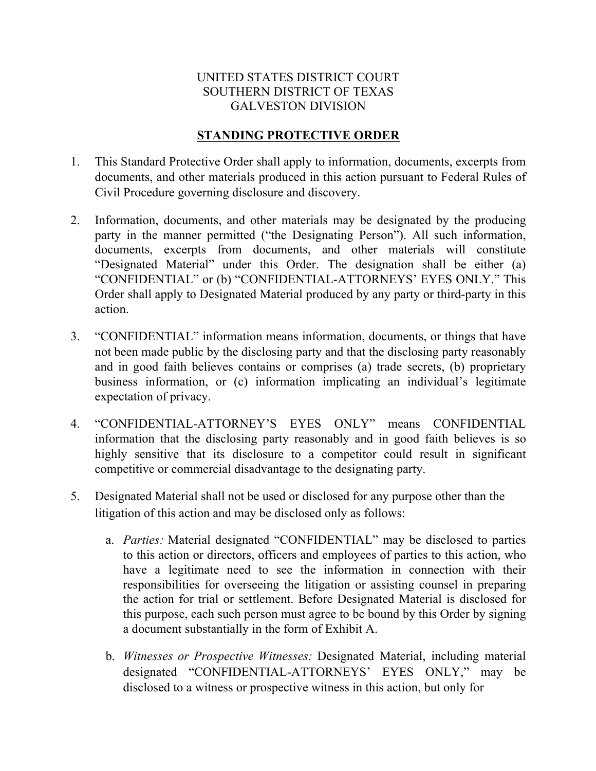## UNITED STATES DISTRICT COURT SOUTHERN DISTRICT OF TEXAS GALVESTON DIVISION

## **STANDING PROTECTIVE ORDER**

- 1. This Standard Protective Order shall apply to information, documents, excerpts from documents, and other materials produced in this action pursuant to Federal Rules of Civil Procedure governing disclosure and discovery.
- 2. Information, documents, and other materials may be designated by the producing party in the manner permitted ("the Designating Person"). All such information, documents, excerpts from documents, and other materials will constitute "Designated Material" under this Order. The designation shall be either (a) "CONFIDENTIAL" or (b) "CONFIDENTIAL-ATTORNEYS' EYES ONLY." This Order shall apply to Designated Material produced by any party or third-party in this action.
- 3. "CONFIDENTIAL" information means information, documents, or things that have not been made public by the disclosing party and that the disclosing party reasonably and in good faith believes contains or comprises (a) trade secrets, (b) proprietary business information, or (c) information implicating an individual's legitimate expectation of privacy.
- 4. "CONFIDENTIAL-ATTORNEY'S EYES ONLY" means CONFIDENTIAL information that the disclosing party reasonably and in good faith believes is so highly sensitive that its disclosure to a competitor could result in significant competitive or commercial disadvantage to the designating party.
- 5. Designated Material shall not be used or disclosed for any purpose other than the litigation of this action and may be disclosed only as follows:
	- a. *Parties:* Material designated "CONFIDENTIAL" may be disclosed to parties to this action or directors, officers and employees of parties to this action, who have a legitimate need to see the information in connection with their responsibilities for overseeing the litigation or assisting counsel in preparing the action for trial or settlement. Before Designated Material is disclosed for this purpose, each such person must agree to be bound by this Order by signing a document substantially in the form of Exhibit A.
	- b. *Witnesses or Prospective Witnesses:* Designated Material, including material designated "CONFIDENTIAL-ATTORNEYS' EYES ONLY," may be disclosed to a witness or prospective witness in this action, but only for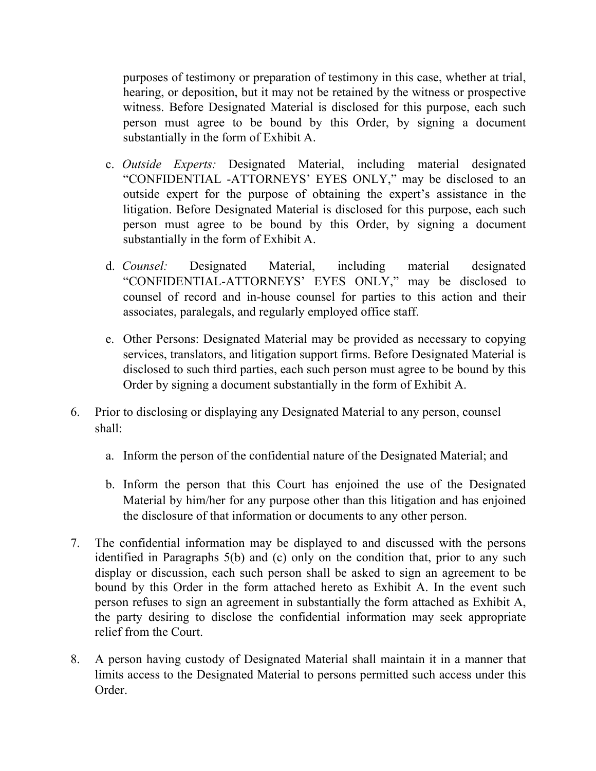purposes of testimony or preparation of testimony in this case, whether at trial, hearing, or deposition, but it may not be retained by the witness or prospective witness. Before Designated Material is disclosed for this purpose, each such person must agree to be bound by this Order, by signing a document substantially in the form of Exhibit A.

- c. *Outside Experts:* Designated Material, including material designated "CONFIDENTIAL -ATTORNEYS' EYES ONLY," may be disclosed to an outside expert for the purpose of obtaining the expert's assistance in the litigation. Before Designated Material is disclosed for this purpose, each such person must agree to be bound by this Order, by signing a document substantially in the form of Exhibit A.
- d. *Counsel:* Designated Material, including material designated "CONFIDENTIAL-ATTORNEYS' EYES ONLY," may be disclosed to counsel of record and in-house counsel for parties to this action and their associates, paralegals, and regularly employed office staff.
- e. Other Persons: Designated Material may be provided as necessary to copying services, translators, and litigation support firms. Before Designated Material is disclosed to such third parties, each such person must agree to be bound by this Order by signing a document substantially in the form of Exhibit A.
- 6. Prior to disclosing or displaying any Designated Material to any person, counsel shall:
	- a. Inform the person of the confidential nature of the Designated Material; and
	- b. Inform the person that this Court has enjoined the use of the Designated Material by him/her for any purpose other than this litigation and has enjoined the disclosure of that information or documents to any other person.
- 7. The confidential information may be displayed to and discussed with the persons identified in Paragraphs 5(b) and (c) only on the condition that, prior to any such display or discussion, each such person shall be asked to sign an agreement to be bound by this Order in the form attached hereto as Exhibit A. In the event such person refuses to sign an agreement in substantially the form attached as Exhibit A, the party desiring to disclose the confidential information may seek appropriate relief from the Court.
- 8. A person having custody of Designated Material shall maintain it in a manner that limits access to the Designated Material to persons permitted such access under this Order.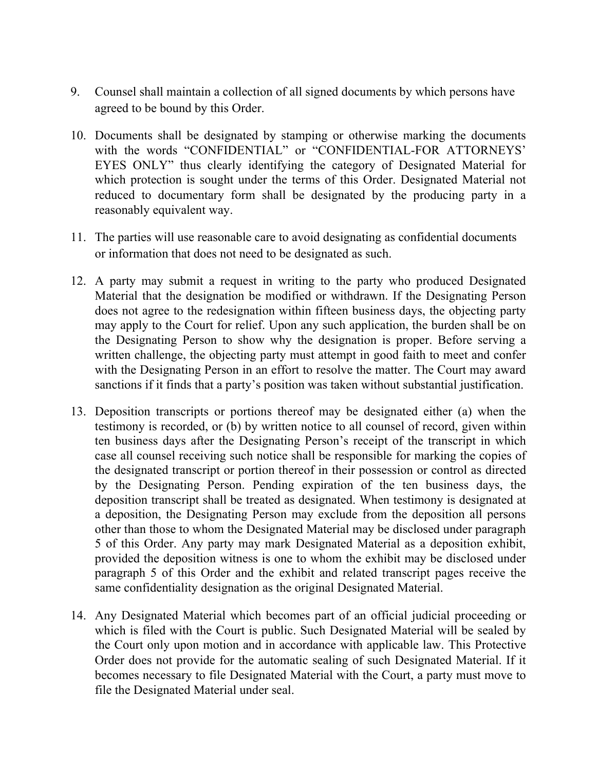- 9. Counsel shall maintain a collection of all signed documents by which persons have agreed to be bound by this Order.
- 10. Documents shall be designated by stamping or otherwise marking the documents with the words "CONFIDENTIAL" or "CONFIDENTIAL-FOR ATTORNEYS' EYES ONLY" thus clearly identifying the category of Designated Material for which protection is sought under the terms of this Order. Designated Material not reduced to documentary form shall be designated by the producing party in a reasonably equivalent way.
- 11. The parties will use reasonable care to avoid designating as confidential documents or information that does not need to be designated as such.
- 12. A party may submit a request in writing to the party who produced Designated Material that the designation be modified or withdrawn. If the Designating Person does not agree to the redesignation within fifteen business days, the objecting party may apply to the Court for relief. Upon any such application, the burden shall be on the Designating Person to show why the designation is proper. Before serving a written challenge, the objecting party must attempt in good faith to meet and confer with the Designating Person in an effort to resolve the matter. The Court may award sanctions if it finds that a party's position was taken without substantial justification.
- 13. Deposition transcripts or portions thereof may be designated either (a) when the testimony is recorded, or (b) by written notice to all counsel of record, given within ten business days after the Designating Person's receipt of the transcript in which case all counsel receiving such notice shall be responsible for marking the copies of the designated transcript or portion thereof in their possession or control as directed by the Designating Person. Pending expiration of the ten business days, the deposition transcript shall be treated as designated. When testimony is designated at a deposition, the Designating Person may exclude from the deposition all persons other than those to whom the Designated Material may be disclosed under paragraph 5 of this Order. Any party may mark Designated Material as a deposition exhibit, provided the deposition witness is one to whom the exhibit may be disclosed under paragraph 5 of this Order and the exhibit and related transcript pages receive the same confidentiality designation as the original Designated Material.
- 14. Any Designated Material which becomes part of an official judicial proceeding or which is filed with the Court is public. Such Designated Material will be sealed by the Court only upon motion and in accordance with applicable law. This Protective Order does not provide for the automatic sealing of such Designated Material. If it becomes necessary to file Designated Material with the Court, a party must move to file the Designated Material under seal.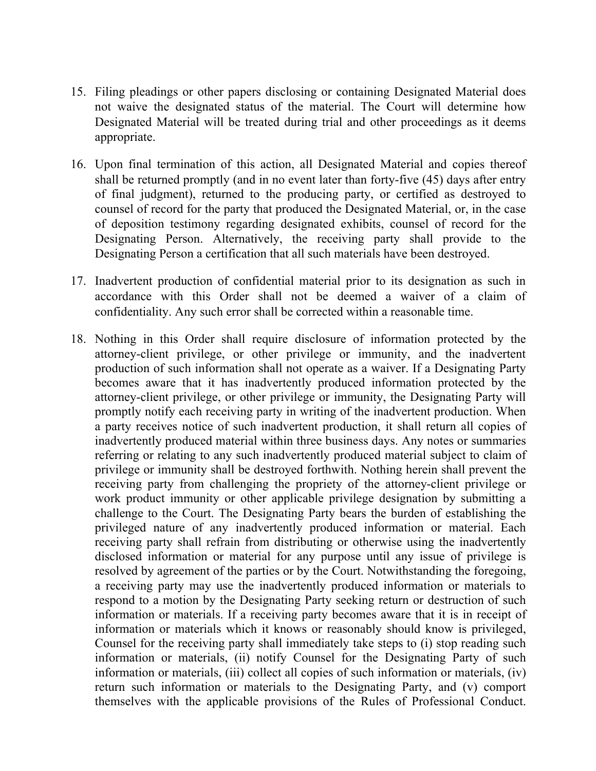- 15. Filing pleadings or other papers disclosing or containing Designated Material does not waive the designated status of the material. The Court will determine how Designated Material will be treated during trial and other proceedings as it deems appropriate.
- 16. Upon final termination of this action, all Designated Material and copies thereof shall be returned promptly (and in no event later than forty-five (45) days after entry of final judgment), returned to the producing party, or certified as destroyed to counsel of record for the party that produced the Designated Material, or, in the case of deposition testimony regarding designated exhibits, counsel of record for the Designating Person. Alternatively, the receiving party shall provide to the Designating Person a certification that all such materials have been destroyed.
- 17. Inadvertent production of confidential material prior to its designation as such in accordance with this Order shall not be deemed a waiver of a claim of confidentiality. Any such error shall be corrected within a reasonable time.
- 18. Nothing in this Order shall require disclosure of information protected by the attorney-client privilege, or other privilege or immunity, and the inadvertent production of such information shall not operate as a waiver. If a Designating Party becomes aware that it has inadvertently produced information protected by the attorney-client privilege, or other privilege or immunity, the Designating Party will promptly notify each receiving party in writing of the inadvertent production. When a party receives notice of such inadvertent production, it shall return all copies of inadvertently produced material within three business days. Any notes or summaries referring or relating to any such inadvertently produced material subject to claim of privilege or immunity shall be destroyed forthwith. Nothing herein shall prevent the receiving party from challenging the propriety of the attorney-client privilege or work product immunity or other applicable privilege designation by submitting a challenge to the Court. The Designating Party bears the burden of establishing the privileged nature of any inadvertently produced information or material. Each receiving party shall refrain from distributing or otherwise using the inadvertently disclosed information or material for any purpose until any issue of privilege is resolved by agreement of the parties or by the Court. Notwithstanding the foregoing, a receiving party may use the inadvertently produced information or materials to respond to a motion by the Designating Party seeking return or destruction of such information or materials. If a receiving party becomes aware that it is in receipt of information or materials which it knows or reasonably should know is privileged, Counsel for the receiving party shall immediately take steps to (i) stop reading such information or materials, (ii) notify Counsel for the Designating Party of such information or materials, (iii) collect all copies of such information or materials, (iv) return such information or materials to the Designating Party, and (v) comport themselves with the applicable provisions of the Rules of Professional Conduct.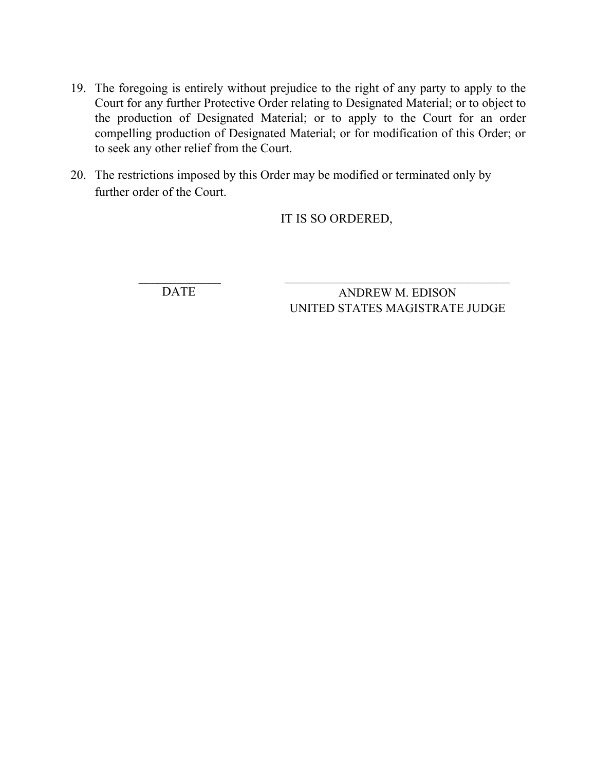- 19. The foregoing is entirely without prejudice to the right of any party to apply to the Court for any further Protective Order relating to Designated Material; or to object to the production of Designated Material; or to apply to the Court for an order compelling production of Designated Material; or for modification of this Order; or to seek any other relief from the Court.
- 20. The restrictions imposed by this Order may be modified or terminated only by further order of the Court.

## IT IS SO ORDERED,

DATE

ANDREW M. EDISON UNITED STATES MAGISTRATE JUDGE

 $\mathcal{L}_\text{max}$  and  $\mathcal{L}_\text{max}$  and  $\mathcal{L}_\text{max}$  and  $\mathcal{L}_\text{max}$